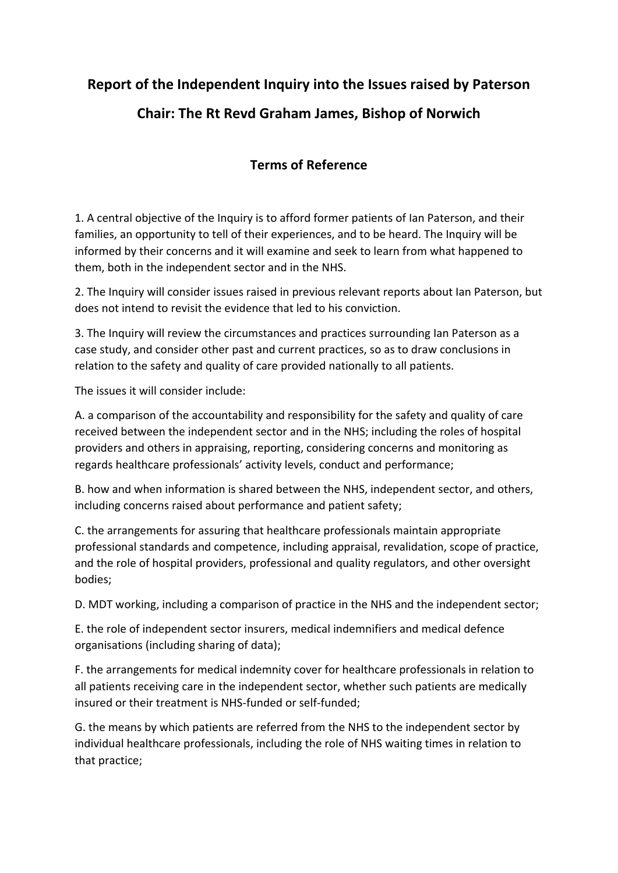# **Report of the Independent Inquiry into the Issues raised by Paterson Chair: The Rt Revd Graham James, Bishop of Norwich**

# **Terms of Reference**

1. A central objective of the Inquiry is to afford former patients of Ian Paterson, and their families, an opportunity to tell of their experiences, and to be heard. The Inquiry will be informed by their concerns and it will examine and seek to learn from what happened to them, both in the independent sector and in the NHS.

2. The Inquiry will consider issues raised in previous relevant reports about Ian Paterson, but does not intend to revisit the evidence that led to his conviction.

3. The Inquiry will review the circumstances and practices surrounding Ian Paterson as a case study, and consider other past and current practices, so as to draw conclusions in relation to the safety and quality of care provided nationally to all patients.

The issues it will consider include:

A. a comparison of the accountability and responsibility for the safety and quality of care received between the independent sector and in the NHS; including the roles of hospital providers and others in appraising, reporting, considering concerns and monitoring as regards healthcare professionals' activity levels, conduct and performance;

B. how and when information is shared between the NHS, independent sector, and others, including concerns raised about performance and patient safety;

C. the arrangements for assuring that healthcare professionals maintain appropriate professional standards and competence, including appraisal, revalidation, scope of practice, and the role of hospital providers, professional and quality regulators, and other oversight bodies;

D. MDT working, including a comparison of practice in the NHS and the independent sector;

E. the role of independent sector insurers, medical indemnifiers and medical defence organisations (including sharing of data);

F. the arrangements for medical indemnity cover for healthcare professionals in relation to all patients receiving care in the independent sector, whether such patients are medically insured or their treatment is NHS-funded or self-funded;

G. the means by which patients are referred from the NHS to the independent sector by individual healthcare professionals, including the role of NHS waiting times in relation to that practice;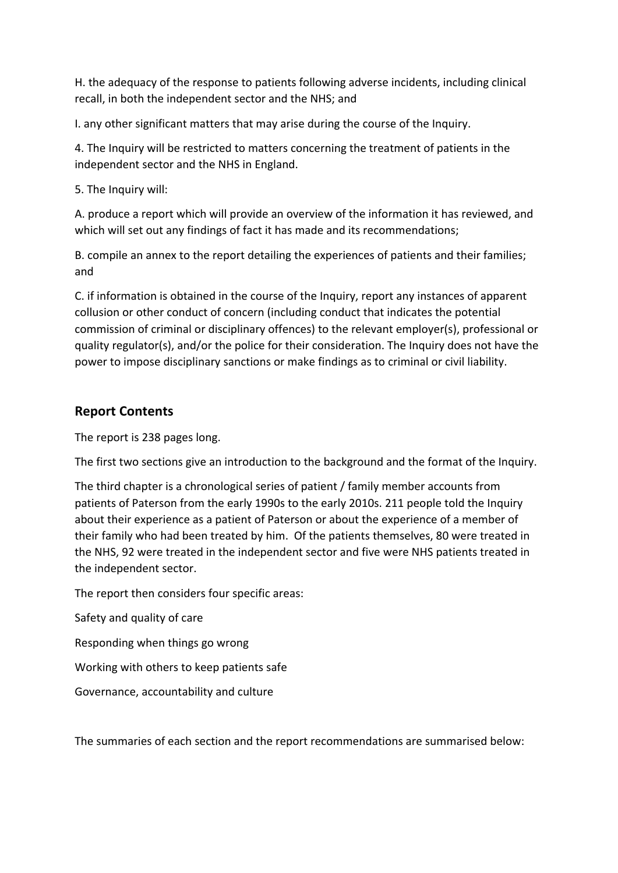H. the adequacy of the response to patients following adverse incidents, including clinical recall, in both the independent sector and the NHS; and

I. any other significant matters that may arise during the course of the Inquiry.

4. The Inquiry will be restricted to matters concerning the treatment of patients in the independent sector and the NHS in England.

5. The Inquiry will:

A. produce a report which will provide an overview of the information it has reviewed, and which will set out any findings of fact it has made and its recommendations;

B. compile an annex to the report detailing the experiences of patients and their families; and

C. if information is obtained in the course of the Inquiry, report any instances of apparent collusion or other conduct of concern (including conduct that indicates the potential commission of criminal or disciplinary offences) to the relevant employer(s), professional or quality regulator(s), and/or the police for their consideration. The Inquiry does not have the power to impose disciplinary sanctions or make findings as to criminal or civil liability.

# **Report Contents**

The report is 238 pages long.

The first two sections give an introduction to the background and the format of the Inquiry.

The third chapter is a chronological series of patient / family member accounts from patients of Paterson from the early 1990s to the early 2010s. 211 people told the Inquiry about their experience as a patient of Paterson or about the experience of a member of their family who had been treated by him. Of the patients themselves, 80 were treated in the NHS, 92 were treated in the independent sector and five were NHS patients treated in the independent sector.

The report then considers four specific areas:

Safety and quality of care

Responding when things go wrong

Working with others to keep patients safe

Governance, accountability and culture

The summaries of each section and the report recommendations are summarised below: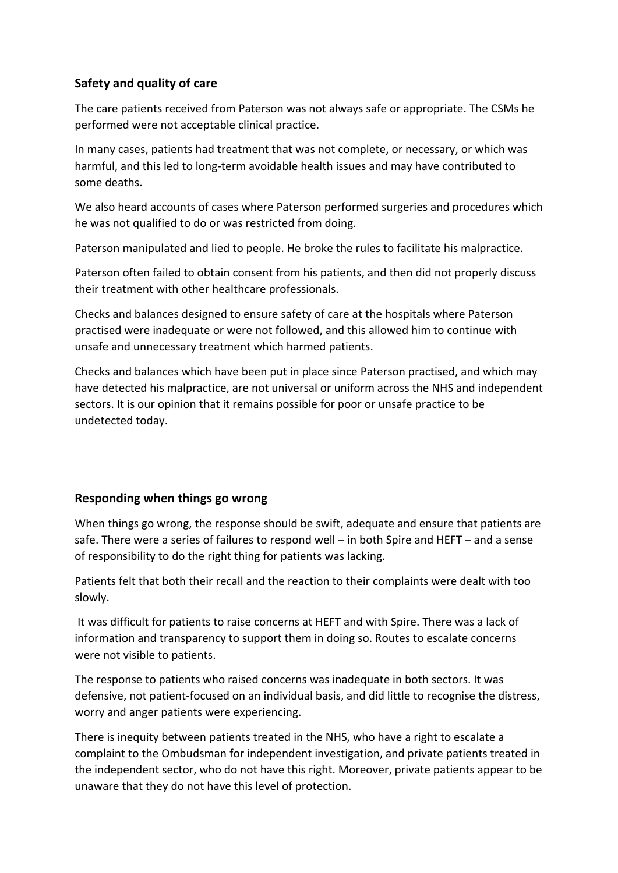# **Safety and quality of care**

The care patients received from Paterson was not always safe or appropriate. The CSMs he performed were not acceptable clinical practice.

In many cases, patients had treatment that was not complete, or necessary, or which was harmful, and this led to long-term avoidable health issues and may have contributed to some deaths.

We also heard accounts of cases where Paterson performed surgeries and procedures which he was not qualified to do or was restricted from doing.

Paterson manipulated and lied to people. He broke the rules to facilitate his malpractice.

Paterson often failed to obtain consent from his patients, and then did not properly discuss their treatment with other healthcare professionals.

Checks and balances designed to ensure safety of care at the hospitals where Paterson practised were inadequate or were not followed, and this allowed him to continue with unsafe and unnecessary treatment which harmed patients.

Checks and balances which have been put in place since Paterson practised, and which may have detected his malpractice, are not universal or uniform across the NHS and independent sectors. It is our opinion that it remains possible for poor or unsafe practice to be undetected today.

### **Responding when things go wrong**

When things go wrong, the response should be swift, adequate and ensure that patients are safe. There were a series of failures to respond well – in both Spire and HEFT – and a sense of responsibility to do the right thing for patients was lacking.

Patients felt that both their recall and the reaction to their complaints were dealt with too slowly.

It was difficult for patients to raise concerns at HEFT and with Spire. There was a lack of information and transparency to support them in doing so. Routes to escalate concerns were not visible to patients.

The response to patients who raised concerns was inadequate in both sectors. It was defensive, not patient-focused on an individual basis, and did little to recognise the distress, worry and anger patients were experiencing.

There is inequity between patients treated in the NHS, who have a right to escalate a complaint to the Ombudsman for independent investigation, and private patients treated in the independent sector, who do not have this right. Moreover, private patients appear to be unaware that they do not have this level of protection.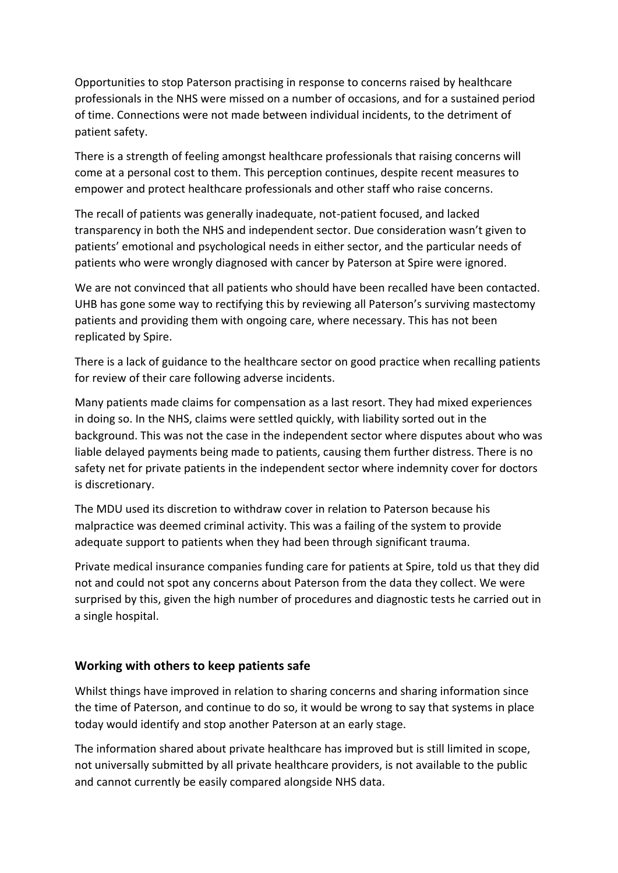Opportunities to stop Paterson practising in response to concerns raised by healthcare professionals in the NHS were missed on a number of occasions, and for a sustained period of time. Connections were not made between individual incidents, to the detriment of patient safety.

There is a strength of feeling amongst healthcare professionals that raising concerns will come at a personal cost to them. This perception continues, despite recent measures to empower and protect healthcare professionals and other staff who raise concerns.

The recall of patients was generally inadequate, not-patient focused, and lacked transparency in both the NHS and independent sector. Due consideration wasn't given to patients' emotional and psychological needs in either sector, and the particular needs of patients who were wrongly diagnosed with cancer by Paterson at Spire were ignored.

We are not convinced that all patients who should have been recalled have been contacted. UHB has gone some way to rectifying this by reviewing all Paterson's surviving mastectomy patients and providing them with ongoing care, where necessary. This has not been replicated by Spire.

There is a lack of guidance to the healthcare sector on good practice when recalling patients for review of their care following adverse incidents.

Many patients made claims for compensation as a last resort. They had mixed experiences in doing so. In the NHS, claims were settled quickly, with liability sorted out in the background. This was not the case in the independent sector where disputes about who was liable delayed payments being made to patients, causing them further distress. There is no safety net for private patients in the independent sector where indemnity cover for doctors is discretionary.

The MDU used its discretion to withdraw cover in relation to Paterson because his malpractice was deemed criminal activity. This was a failing of the system to provide adequate support to patients when they had been through significant trauma.

Private medical insurance companies funding care for patients at Spire, told us that they did not and could not spot any concerns about Paterson from the data they collect. We were surprised by this, given the high number of procedures and diagnostic tests he carried out in a single hospital.

### **Working with others to keep patients safe**

Whilst things have improved in relation to sharing concerns and sharing information since the time of Paterson, and continue to do so, it would be wrong to say that systems in place today would identify and stop another Paterson at an early stage.

The information shared about private healthcare has improved but is still limited in scope, not universally submitted by all private healthcare providers, is not available to the public and cannot currently be easily compared alongside NHS data.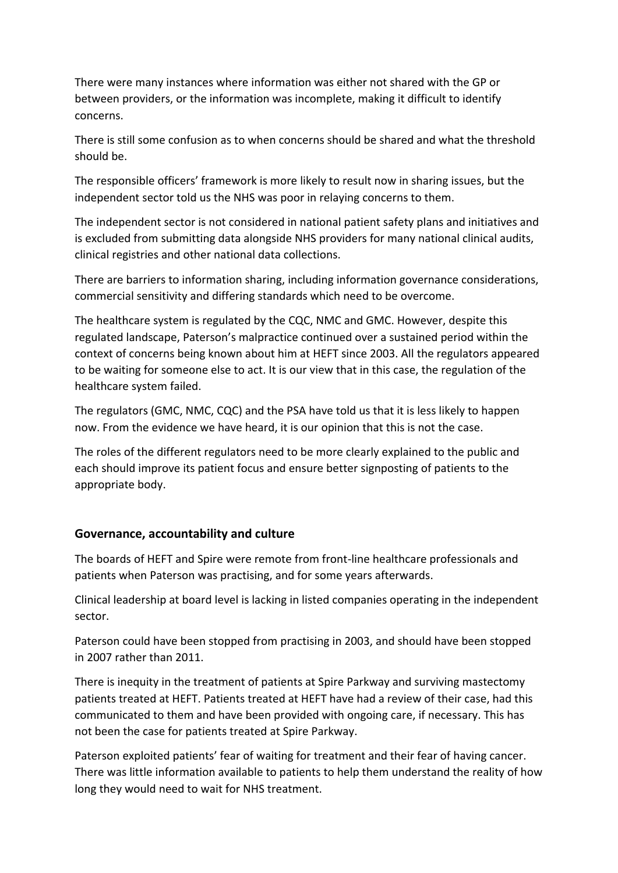There were many instances where information was either not shared with the GP or between providers, or the information was incomplete, making it difficult to identify concerns.

There is still some confusion as to when concerns should be shared and what the threshold should be.

The responsible officers' framework is more likely to result now in sharing issues, but the independent sector told us the NHS was poor in relaying concerns to them.

The independent sector is not considered in national patient safety plans and initiatives and is excluded from submitting data alongside NHS providers for many national clinical audits, clinical registries and other national data collections.

There are barriers to information sharing, including information governance considerations, commercial sensitivity and differing standards which need to be overcome.

The healthcare system is regulated by the CQC, NMC and GMC. However, despite this regulated landscape, Paterson's malpractice continued over a sustained period within the context of concerns being known about him at HEFT since 2003. All the regulators appeared to be waiting for someone else to act. It is our view that in this case, the regulation of the healthcare system failed.

The regulators (GMC, NMC, CQC) and the PSA have told us that it is less likely to happen now. From the evidence we have heard, it is our opinion that this is not the case.

The roles of the different regulators need to be more clearly explained to the public and each should improve its patient focus and ensure better signposting of patients to the appropriate body.

# **Governance, accountability and culture**

The boards of HEFT and Spire were remote from front-line healthcare professionals and patients when Paterson was practising, and for some years afterwards.

Clinical leadership at board level is lacking in listed companies operating in the independent sector.

Paterson could have been stopped from practising in 2003, and should have been stopped in 2007 rather than 2011.

There is inequity in the treatment of patients at Spire Parkway and surviving mastectomy patients treated at HEFT. Patients treated at HEFT have had a review of their case, had this communicated to them and have been provided with ongoing care, if necessary. This has not been the case for patients treated at Spire Parkway.

Paterson exploited patients' fear of waiting for treatment and their fear of having cancer. There was little information available to patients to help them understand the reality of how long they would need to wait for NHS treatment.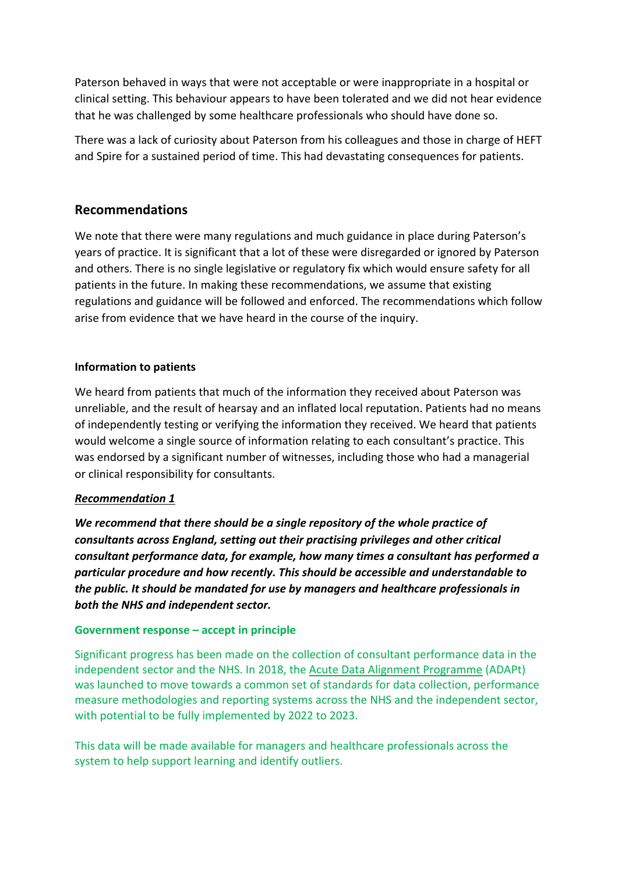Paterson behaved in ways that were not acceptable or were inappropriate in a hospital or clinical setting. This behaviour appears to have been tolerated and we did not hear evidence that he was challenged by some healthcare professionals who should have done so.

There was a lack of curiosity about Paterson from his colleagues and those in charge of HEFT and Spire for a sustained period of time. This had devastating consequences for patients.

# **Recommendations**

We note that there were many regulations and much guidance in place during Paterson's years of practice. It is significant that a lot of these were disregarded or ignored by Paterson and others. There is no single legislative or regulatory fix which would ensure safety for all patients in the future. In making these recommendations, we assume that existing regulations and guidance will be followed and enforced. The recommendations which follow arise from evidence that we have heard in the course of the inquiry.

### **Information to patients**

We heard from patients that much of the information they received about Paterson was unreliable, and the result of hearsay and an inflated local reputation. Patients had no means of independently testing or verifying the information they received. We heard that patients would welcome a single source of information relating to each consultant's practice. This was endorsed by a significant number of witnesses, including those who had a managerial or clinical responsibility for consultants.

### *Recommendation 1*

*We recommend that there should be a single repository of the whole practice of consultants across England, setting out their practising privileges and other critical consultant performance data, for example, how many times a consultant has performed a particular procedure and how recently. This should be accessible and understandable to the public. It should be mandated for use by managers and healthcare professionals in both the NHS and independent sector.*

### **Government response – accept in principle**

Significant progress has been made on the collection of consultant performance data in the independent sector and the NHS. In 2018, the [Acute Data Alignment Programme](https://digital.nhs.uk/about-nhs-digital/our-work/acute-data-alignment-programme) (ADAPt) was launched to move towards a common set of standards for data collection, performance measure methodologies and reporting systems across the NHS and the independent sector, with potential to be fully implemented by 2022 to 2023.

This data will be made available for managers and healthcare professionals across the system to help support learning and identify outliers.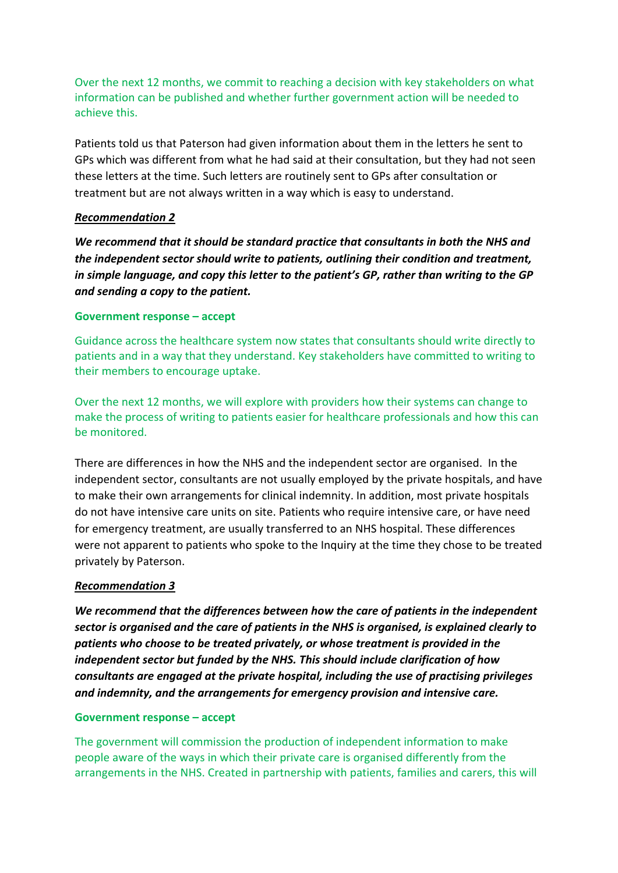Over the next 12 months, we commit to reaching a decision with key stakeholders on what information can be published and whether further government action will be needed to achieve this.

Patients told us that Paterson had given information about them in the letters he sent to GPs which was different from what he had said at their consultation, but they had not seen these letters at the time. Such letters are routinely sent to GPs after consultation or treatment but are not always written in a way which is easy to understand.

### *Recommendation 2*

*We recommend that it should be standard practice that consultants in both the NHS and the independent sector should write to patients, outlining their condition and treatment, in simple language, and copy this letter to the patient's GP, rather than writing to the GP and sending a copy to the patient.*

### **Government response – accept**

Guidance across the healthcare system now states that consultants should write directly to patients and in a way that they understand. Key stakeholders have committed to writing to their members to encourage uptake.

Over the next 12 months, we will explore with providers how their systems can change to make the process of writing to patients easier for healthcare professionals and how this can be monitored.

There are differences in how the NHS and the independent sector are organised. In the independent sector, consultants are not usually employed by the private hospitals, and have to make their own arrangements for clinical indemnity. In addition, most private hospitals do not have intensive care units on site. Patients who require intensive care, or have need for emergency treatment, are usually transferred to an NHS hospital. These differences were not apparent to patients who spoke to the Inquiry at the time they chose to be treated privately by Paterson.

### *Recommendation 3*

*We recommend that the differences between how the care of patients in the independent sector is organised and the care of patients in the NHS is organised, is explained clearly to patients who choose to be treated privately, or whose treatment is provided in the independent sector but funded by the NHS. This should include clarification of how consultants are engaged at the private hospital, including the use of practising privileges and indemnity, and the arrangements for emergency provision and intensive care.*

### **Government response – accept**

The government will commission the production of independent information to make people aware of the ways in which their private care is organised differently from the arrangements in the NHS. Created in partnership with patients, families and carers, this will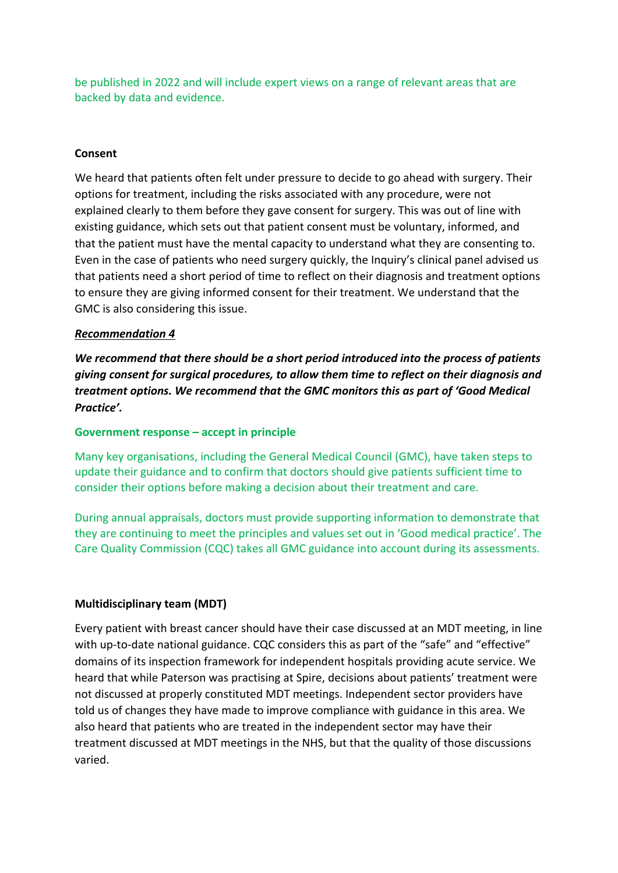be published in 2022 and will include expert views on a range of relevant areas that are backed by data and evidence.

### **Consent**

We heard that patients often felt under pressure to decide to go ahead with surgery. Their options for treatment, including the risks associated with any procedure, were not explained clearly to them before they gave consent for surgery. This was out of line with existing guidance, which sets out that patient consent must be voluntary, informed, and that the patient must have the mental capacity to understand what they are consenting to. Even in the case of patients who need surgery quickly, the Inquiry's clinical panel advised us that patients need a short period of time to reflect on their diagnosis and treatment options to ensure they are giving informed consent for their treatment. We understand that the GMC is also considering this issue.

### *Recommendation 4*

*We recommend that there should be a short period introduced into the process of patients giving consent for surgical procedures, to allow them time to reflect on their diagnosis and treatment options. We recommend that the GMC monitors this as part of 'Good Medical Practice'.*

### **Government response – accept in principle**

Many key organisations, including the General Medical Council (GMC), have taken steps to update their guidance and to confirm that doctors should give patients sufficient time to consider their options before making a decision about their treatment and care.

During annual appraisals, doctors must provide supporting information to demonstrate that they are continuing to meet the principles and values set out in 'Good medical practice'. The Care Quality Commission (CQC) takes all GMC guidance into account during its assessments.

### **Multidisciplinary team (MDT)**

Every patient with breast cancer should have their case discussed at an MDT meeting, in line with up-to-date national guidance. CQC considers this as part of the "safe" and "effective" domains of its inspection framework for independent hospitals providing acute service. We heard that while Paterson was practising at Spire, decisions about patients' treatment were not discussed at properly constituted MDT meetings. Independent sector providers have told us of changes they have made to improve compliance with guidance in this area. We also heard that patients who are treated in the independent sector may have their treatment discussed at MDT meetings in the NHS, but that the quality of those discussions varied.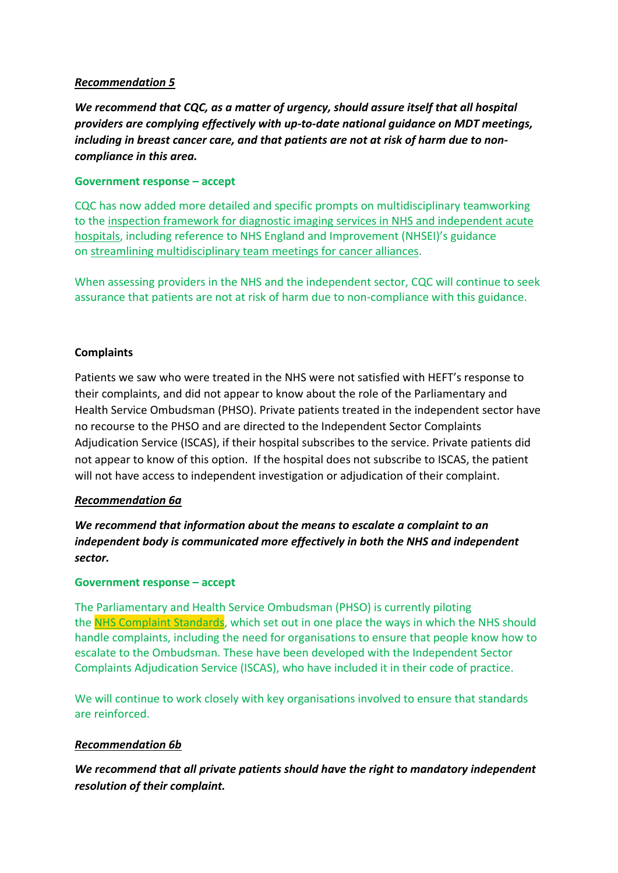### *Recommendation 5*

*We recommend that CQC, as a matter of urgency, should assure itself that all hospital providers are complying effectively with up-to-date national guidance on MDT meetings, including in breast cancer care, and that patients are not at risk of harm due to noncompliance in this area.*

### **Government response – accept**

CQC has now added more detailed and specific prompts on multidisciplinary teamworking to the [inspection framework for diagnostic imaging services in](https://www.cqc.org.uk/sites/default/files/20200715_Acute_NHS_and_IH_Diagnostic_Imaging_service_framework.pdf) NHS and independent acute [hospitals,](https://www.cqc.org.uk/sites/default/files/20200715_Acute_NHS_and_IH_Diagnostic_Imaging_service_framework.pdf) including reference to NHS England and Improvement (NHSEI)'s guidance on [streamlining multidisciplinary team meetings for cancer alliances.](https://www.england.nhs.uk/publication/streamlining-mdt-meetings-guidance-cancer-alliances/)

When assessing providers in the NHS and the independent sector, CQC will continue to seek assurance that patients are not at risk of harm due to non-compliance with this guidance.

### **Complaints**

Patients we saw who were treated in the NHS were not satisfied with HEFT's response to their complaints, and did not appear to know about the role of the Parliamentary and Health Service Ombudsman (PHSO). Private patients treated in the independent sector have no recourse to the PHSO and are directed to the Independent Sector Complaints Adjudication Service (ISCAS), if their hospital subscribes to the service. Private patients did not appear to know of this option. If the hospital does not subscribe to ISCAS, the patient will not have access to independent investigation or adjudication of their complaint.

### *Recommendation 6a*

*We recommend that information about the means to escalate a complaint to an independent body is communicated more effectively in both the NHS and independent sector.* 

### **Government response – accept**

The Parliamentary and Health Service Ombudsman (PHSO) is currently piloting the NHS [Complaint Standards,](https://www.ombudsman.org.uk/complaint-standards) which set out in one place the ways in which the NHS should handle complaints, including the need for organisations to ensure that people know how to escalate to the Ombudsman. These have been developed with the Independent Sector Complaints Adjudication Service (ISCAS), who have included it in their code of practice.

We will continue to work closely with key organisations involved to ensure that standards are reinforced.

### *Recommendation 6b*

*We recommend that all private patients should have the right to mandatory independent resolution of their complaint.*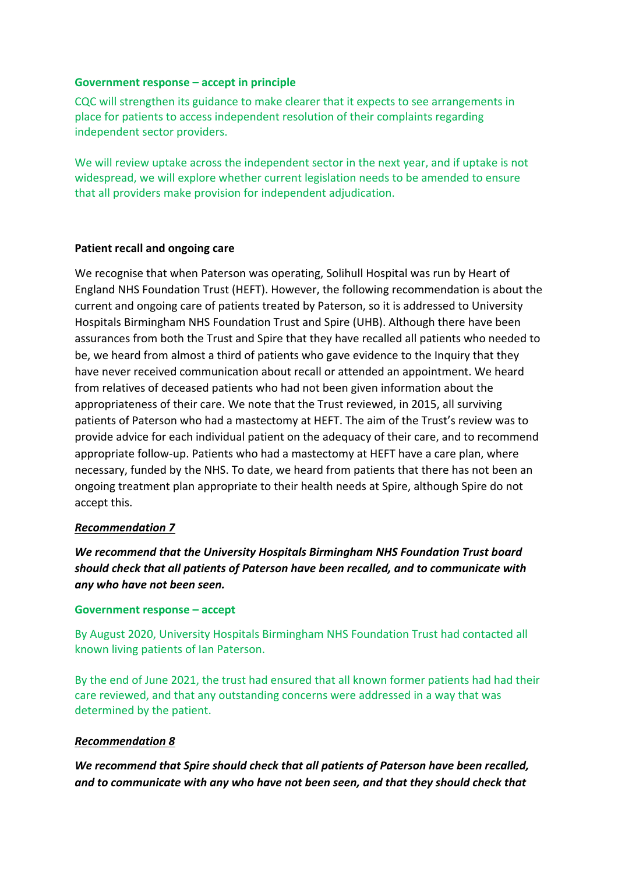### **Government response – accept in principle**

CQC will strengthen its guidance to make clearer that it expects to see arrangements in place for patients to access independent resolution of their complaints regarding independent sector providers.

We will review uptake across the independent sector in the next year, and if uptake is not widespread, we will explore whether current legislation needs to be amended to ensure that all providers make provision for independent adjudication.

### **Patient recall and ongoing care**

We recognise that when Paterson was operating, Solihull Hospital was run by Heart of England NHS Foundation Trust (HEFT). However, the following recommendation is about the current and ongoing care of patients treated by Paterson, so it is addressed to University Hospitals Birmingham NHS Foundation Trust and Spire (UHB). Although there have been assurances from both the Trust and Spire that they have recalled all patients who needed to be, we heard from almost a third of patients who gave evidence to the Inquiry that they have never received communication about recall or attended an appointment. We heard from relatives of deceased patients who had not been given information about the appropriateness of their care. We note that the Trust reviewed, in 2015, all surviving patients of Paterson who had a mastectomy at HEFT. The aim of the Trust's review was to provide advice for each individual patient on the adequacy of their care, and to recommend appropriate follow-up. Patients who had a mastectomy at HEFT have a care plan, where necessary, funded by the NHS. To date, we heard from patients that there has not been an ongoing treatment plan appropriate to their health needs at Spire, although Spire do not accept this.

### *Recommendation 7*

*We recommend that the University Hospitals Birmingham NHS Foundation Trust board should check that all patients of Paterson have been recalled, and to communicate with any who have not been seen.* 

### **Government response – accept**

By August 2020, University Hospitals Birmingham NHS Foundation Trust had contacted all known living patients of Ian Paterson.

By the end of June 2021, the trust had ensured that all known former patients had had their care reviewed, and that any outstanding concerns were addressed in a way that was determined by the patient.

### *Recommendation 8*

*We recommend that Spire should check that all patients of Paterson have been recalled, and to communicate with any who have not been seen, and that they should check that*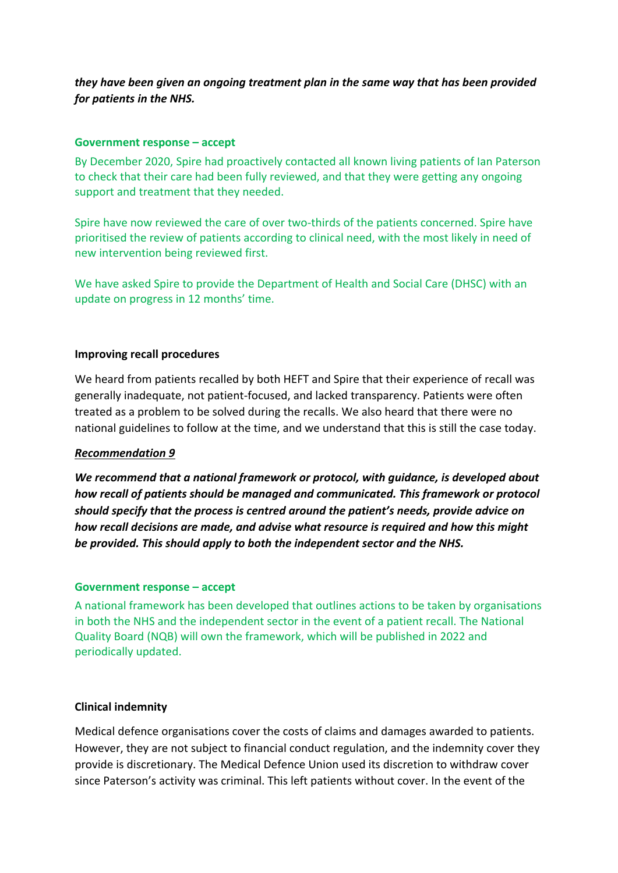### *they have been given an ongoing treatment plan in the same way that has been provided for patients in the NHS.*

### **Government response – accept**

By December 2020, Spire had proactively contacted all known living patients of Ian Paterson to check that their care had been fully reviewed, and that they were getting any ongoing support and treatment that they needed.

Spire have now reviewed the care of over two-thirds of the patients concerned. Spire have prioritised the review of patients according to clinical need, with the most likely in need of new intervention being reviewed first.

We have asked Spire to provide the Department of Health and Social Care (DHSC) with an update on progress in 12 months' time.

#### **Improving recall procedures**

We heard from patients recalled by both HEFT and Spire that their experience of recall was generally inadequate, not patient-focused, and lacked transparency. Patients were often treated as a problem to be solved during the recalls. We also heard that there were no national guidelines to follow at the time, and we understand that this is still the case today.

### *Recommendation 9*

*We recommend that a national framework or protocol, with guidance, is developed about how recall of patients should be managed and communicated. This framework or protocol should specify that the process is centred around the patient's needs, provide advice on how recall decisions are made, and advise what resource is required and how this might be provided. This should apply to both the independent sector and the NHS.* 

#### **Government response – accept**

A national framework has been developed that outlines actions to be taken by organisations in both the NHS and the independent sector in the event of a patient recall. The National Quality Board (NQB) will own the framework, which will be published in 2022 and periodically updated.

### **Clinical indemnity**

Medical defence organisations cover the costs of claims and damages awarded to patients. However, they are not subject to financial conduct regulation, and the indemnity cover they provide is discretionary. The Medical Defence Union used its discretion to withdraw cover since Paterson's activity was criminal. This left patients without cover. In the event of the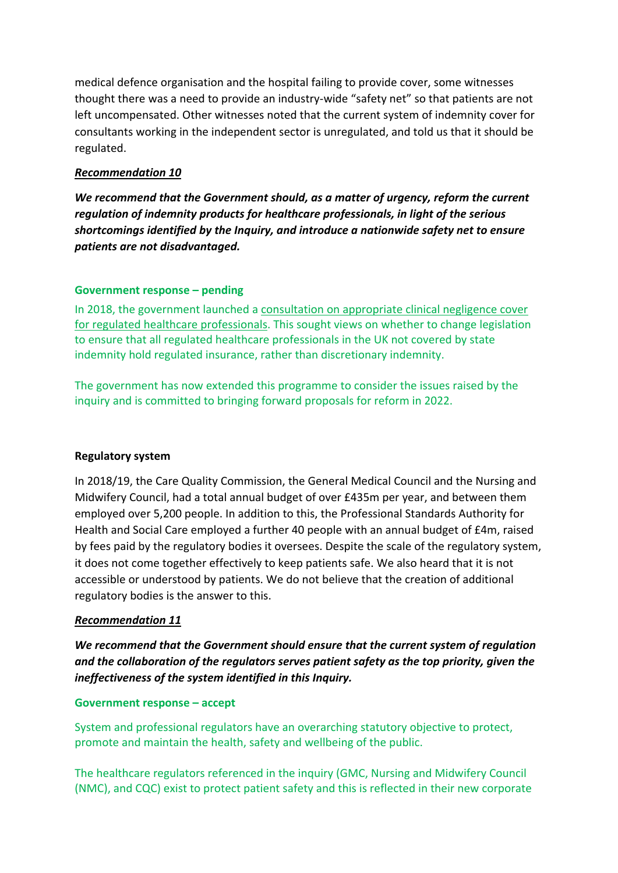medical defence organisation and the hospital failing to provide cover, some witnesses thought there was a need to provide an industry-wide "safety net" so that patients are not left uncompensated. Other witnesses noted that the current system of indemnity cover for consultants working in the independent sector is unregulated, and told us that it should be regulated.

### *Recommendation 10*

*We recommend that the Government should, as a matter of urgency, reform the current regulation of indemnity products for healthcare professionals, in light of the serious shortcomings identified by the Inquiry, and introduce a nationwide safety net to ensure patients are not disadvantaged.*

### **Government response – pending**

In 2018, the government launched a [consultation on appropriate clinical negligence cover](https://www.gov.uk/government/consultations/appropriate-clinical-negligence-cover)  [for regulated healthcare professionals.](https://www.gov.uk/government/consultations/appropriate-clinical-negligence-cover) This sought views on whether to change legislation to ensure that all regulated healthcare professionals in the UK not covered by state indemnity hold regulated insurance, rather than discretionary indemnity.

The government has now extended this programme to consider the issues raised by the inquiry and is committed to bringing forward proposals for reform in 2022.

### **Regulatory system**

In 2018/19, the Care Quality Commission, the General Medical Council and the Nursing and Midwifery Council, had a total annual budget of over £435m per year, and between them employed over 5,200 people. In addition to this, the Professional Standards Authority for Health and Social Care employed a further 40 people with an annual budget of £4m, raised by fees paid by the regulatory bodies it oversees. Despite the scale of the regulatory system, it does not come together effectively to keep patients safe. We also heard that it is not accessible or understood by patients. We do not believe that the creation of additional regulatory bodies is the answer to this.

### *Recommendation 11*

*We recommend that the Government should ensure that the current system of regulation and the collaboration of the regulators serves patient safety as the top priority, given the ineffectiveness of the system identified in this Inquiry.* 

### **Government response – accept**

System and professional regulators have an overarching statutory objective to protect, promote and maintain the health, safety and wellbeing of the public.

The healthcare regulators referenced in the inquiry (GMC, Nursing and Midwifery Council (NMC), and CQC) exist to protect patient safety and this is reflected in their new corporate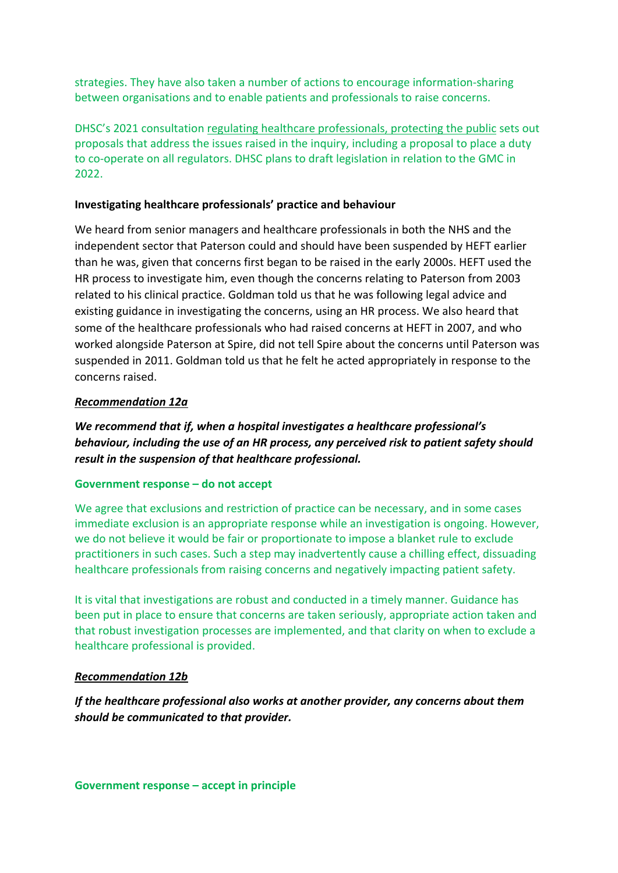strategies. They have also taken a number of actions to encourage information-sharing between organisations and to enable patients and professionals to raise concerns.

DHSC's 2021 consultation [regulating healthcare professionals, protecting the public](https://www.gov.uk/government/consultations/regulating-healthcare-professionals-protecting-the-public) sets out proposals that address the issues raised in the inquiry, including a proposal to place a duty to co-operate on all regulators. DHSC plans to draft legislation in relation to the GMC in 2022.

### **Investigating healthcare professionals' practice and behaviour**

We heard from senior managers and healthcare professionals in both the NHS and the independent sector that Paterson could and should have been suspended by HEFT earlier than he was, given that concerns first began to be raised in the early 2000s. HEFT used the HR process to investigate him, even though the concerns relating to Paterson from 2003 related to his clinical practice. Goldman told us that he was following legal advice and existing guidance in investigating the concerns, using an HR process. We also heard that some of the healthcare professionals who had raised concerns at HEFT in 2007, and who worked alongside Paterson at Spire, did not tell Spire about the concerns until Paterson was suspended in 2011. Goldman told us that he felt he acted appropriately in response to the concerns raised.

### *Recommendation 12a*

*We recommend that if, when a hospital investigates a healthcare professional's behaviour, including the use of an HR process, any perceived risk to patient safety should result in the suspension of that healthcare professional.* 

### **Government response – do not accept**

We agree that exclusions and restriction of practice can be necessary, and in some cases immediate exclusion is an appropriate response while an investigation is ongoing. However, we do not believe it would be fair or proportionate to impose a blanket rule to exclude practitioners in such cases. Such a step may inadvertently cause a chilling effect, dissuading healthcare professionals from raising concerns and negatively impacting patient safety.

It is vital that investigations are robust and conducted in a timely manner. Guidance has been put in place to ensure that concerns are taken seriously, appropriate action taken and that robust investigation processes are implemented, and that clarity on when to exclude a healthcare professional is provided.

### *Recommendation 12b*

*If the healthcare professional also works at another provider, any concerns about them should be communicated to that provider.*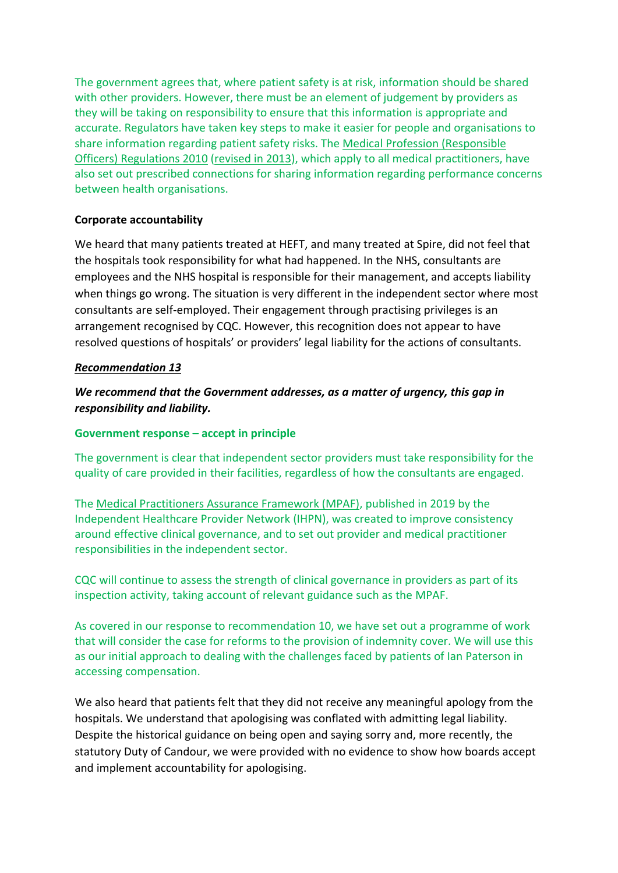The government agrees that, where patient safety is at risk, information should be shared with other providers. However, there must be an element of judgement by providers as they will be taking on responsibility to ensure that this information is appropriate and accurate. Regulators have taken key steps to make it easier for people and organisations to share information regarding patient safety risks. The [Medical Profession \(Responsible](https://www.legislation.gov.uk/ukdsi/2010/9780111500286/contents)  [Officers\) Regulations 2010](https://www.legislation.gov.uk/ukdsi/2010/9780111500286/contents) [\(revised in 2013\)](https://www.legislation.gov.uk/uksi/2013/391/made), which apply to all medical practitioners, have also set out prescribed connections for sharing information regarding performance concerns between health organisations.

### **Corporate accountability**

We heard that many patients treated at HEFT, and many treated at Spire, did not feel that the hospitals took responsibility for what had happened. In the NHS, consultants are employees and the NHS hospital is responsible for their management, and accepts liability when things go wrong. The situation is very different in the independent sector where most consultants are self-employed. Their engagement through practising privileges is an arrangement recognised by CQC. However, this recognition does not appear to have resolved questions of hospitals' or providers' legal liability for the actions of consultants.

### *Recommendation 13*

# *We recommend that the Government addresses, as a matter of urgency, this gap in responsibility and liability.*

### **Government response – accept in principle**

The government is clear that independent sector providers must take responsibility for the quality of care provided in their facilities, regardless of how the consultants are engaged.

The [Medical Practitioners Assurance Framework \(MPAF\),](https://www.ihpn.org.uk/resources/mpaf/) published in 2019 by the Independent Healthcare Provider Network (IHPN), was created to improve consistency around effective clinical governance, and to set out provider and medical practitioner responsibilities in the independent sector.

CQC will continue to assess the strength of clinical governance in providers as part of its inspection activity, taking account of relevant guidance such as the MPAF.

As covered in our response to recommendation 10, we have set out a programme of work that will consider the case for reforms to the provision of indemnity cover. We will use this as our initial approach to dealing with the challenges faced by patients of Ian Paterson in accessing compensation.

We also heard that patients felt that they did not receive any meaningful apology from the hospitals. We understand that apologising was conflated with admitting legal liability. Despite the historical guidance on being open and saying sorry and, more recently, the statutory Duty of Candour, we were provided with no evidence to show how boards accept and implement accountability for apologising.